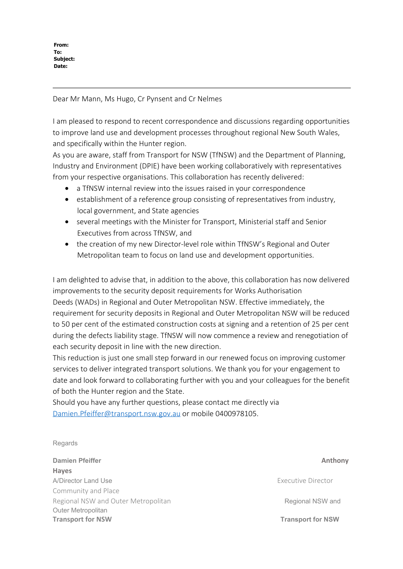**From: To: Subject: Date:**

Dear Mr Mann, Ms Hugo, Cr Pynsent and Cr Nelmes

I am pleased to respond to recent correspondence and discussions regarding opportunities to improve land use and development processes throughout regional New South Wales, and specifically within the Hunter region.

As you are aware, staff from Transport for NSW (TfNSW) and the Department of Planning, Industry and Environment (DPIE) have been working collaboratively with representatives from your respective organisations. This collaboration has recently delivered:

- a TfNSW internal review into the issues raised in your correspondence
- establishment of a reference group consisting of representatives from industry, local government, and State agencies
- · several meetings with the Minister for Transport, Ministerial staff and Senior Executives from across TfNSW, and
- the creation of my new Director-level role within TfNSW's Regional and Outer Metropolitan team to focus on land use and development opportunities.

I am delighted to advise that, in addition to the above, this collaboration has now delivered improvements to the security deposit requirements for Works Authorisation Deeds (WADs) in Regional and Outer Metropolitan NSW. Effective immediately, the requirement for security deposits in Regional and Outer Metropolitan NSW will be reduced to 50 per cent of the estimated construction costs at signing and a retention of 25 per cent during the defects liability stage. TfNSW will now commence a review and renegotiation of each security deposit in line with the new direction.

This reduction is just one small step forward in our renewed focus on improving customer services to deliver integrated transport solutions. We thank you for your engagement to date and look forward to collaborating further with you and your colleagues for the benefit of both the Hunter region and the State.

Should you have any further questions, please contact me directly via [Damien.Pfeiffer@transport.nsw.gov.au](mailto:Damien.Pfeiffer@transport.nsw.gov.au) or mobile 0400978105.

## Regards

**Damien Pfeiffer Anthony Anthony Anthony Anthony Anthony Anthony Anthony Anthony Hayes** A/Director Land Use **Executive Director** Land Use **Executive Director** Community and Place Regional NSW and Outer Metropolitan **Regional NSW and Cuter Metropolitan** Regional NSW and Outer Metropolitan **Transport for NSW Transport for NSW**